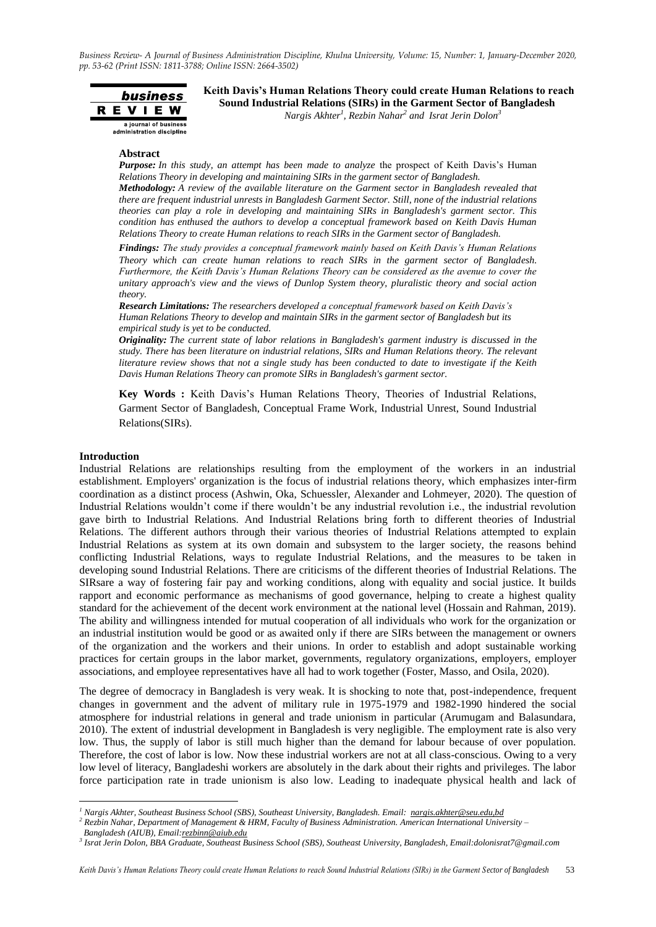

**Keith Davis's Human Relations Theory could create Human Relations to reach Sound Industrial Relations (SIRs) in the Garment Sector of Bangladesh** *Nargis Akhter<sup>1</sup> , Rezbin Nahar<sup>2</sup> and Israt Jerin Dolon<sup>3</sup>*

**Abstract**

*Purpose: In this study, an attempt has been made to analyze* the prospect of Keith Davis's Human *Relations Theory in developing and maintaining SIRs in the garment sector of Bangladesh.* 

*Methodology: A review of the available literature on the Garment sector in Bangladesh revealed that there are frequent industrial unrests in Bangladesh Garment Sector. Still, none of the industrial relations theories can play a role in developing and maintaining SIRs in Bangladesh's garment sector. This condition has enthused the authors to develop a conceptual framework based on Keith Davis Human Relations Theory to create Human relations to reach SIRs in the Garment sector of Bangladesh.* 

*Findings: The study provides a conceptual framework mainly based on Keith Davis's Human Relations Theory which can create human relations to reach SIRs in the garment sector of Bangladesh. Furthermore, the Keith Davis's Human Relations Theory can be considered as the avenue to cover the unitary approach's view and the views of Dunlop System theory, pluralistic theory and social action theory.*

*Research Limitations: The researchers developed a conceptual framework based on Keith Davis's Human Relations Theory to develop and maintain SIRs in the garment sector of Bangladesh but its empirical study is yet to be conducted.* 

*Originality: The current state of labor relations in Bangladesh's garment industry is discussed in the study. There has been literature on industrial relations, SIRs and Human Relations theory. The relevant literature review shows that not a single study has been conducted to date to investigate if the Keith Davis Human Relations Theory can promote SIRs in Bangladesh's garment sector.* 

**Key Words :** Keith Davis's Human Relations Theory, Theories of Industrial Relations, Garment Sector of Bangladesh, Conceptual Frame Work, Industrial Unrest, Sound Industrial Relations(SIRs).

#### **Introduction**

Industrial Relations are relationships resulting from the employment of the workers in an industrial establishment. Employers' organization is the focus of industrial relations theory, which emphasizes inter-firm coordination as a distinct process (Ashwin, Oka, Schuessler, Alexander and Lohmeyer, 2020). The question of Industrial Relations wouldn't come if there wouldn't be any industrial revolution i.e., the industrial revolution gave birth to Industrial Relations. And Industrial Relations bring forth to different theories of Industrial Relations. The different authors through their various theories of Industrial Relations attempted to explain Industrial Relations as system at its own domain and subsystem to the larger society, the reasons behind conflicting Industrial Relations, ways to regulate Industrial Relations, and the measures to be taken in developing sound Industrial Relations. There are criticisms of the different theories of Industrial Relations. The SIRsare a way of fostering fair pay and working conditions, along with equality and social justice. It builds rapport and economic performance as mechanisms of good governance, helping to create a highest quality standard for the achievement of the decent work environment at the national level (Hossain and Rahman, 2019). The ability and willingness intended for mutual cooperation of all individuals who work for the organization or an industrial institution would be good or as awaited only if there are SIRs between the management or owners of the organization and the workers and their unions. In order to establish and adopt sustainable working practices for certain groups in the labor market, governments, regulatory organizations, employers, employer associations, and employee representatives have all had to work together (Foster, Masso, and Osila, 2020).

The degree of democracy in Bangladesh is very weak. It is shocking to note that, post-independence, frequent changes in government and the advent of military rule in 1975-1979 and 1982-1990 hindered the social atmosphere for industrial relations in general and trade unionism in particular (Arumugam and Balasundara, 2010). The extent of industrial development in Bangladesh is very negligible. The employment rate is also very low. Thus, the supply of labor is still much higher than the demand for labour because of over population. Therefore, the cost of labor is low. Now these industrial workers are not at all class-conscious. Owing to a very low level of literacy, Bangladeshi workers are absolutely in the dark about their rights and privileges. The labor force participation rate in trade unionism is also low. Leading to inadequate physical health and lack of

*<sup>2</sup> Rezbin Nahar, Department of Management & HRM, Faculty of Business Administration. American International University –*

 $\overline{a}$ 

*<sup>1</sup> Nargis Akhter, Southeast Business School (SBS), Southeast University, Bangladesh. Email: [nargis.akhter@seu.edu,bd](mailto:nargis.akhter@seu.edu,bd)*

*Bangladesh (AIUB), Email[:rezbinn@aiub.edu](mailto:rezbinn@aiub.edu)*

*<sup>3</sup> Israt Jerin Dolon, BBA Graduate, Southeast Business School (SBS), Southeast University, Bangladesh, Email:dolonisrat7@gmail.com*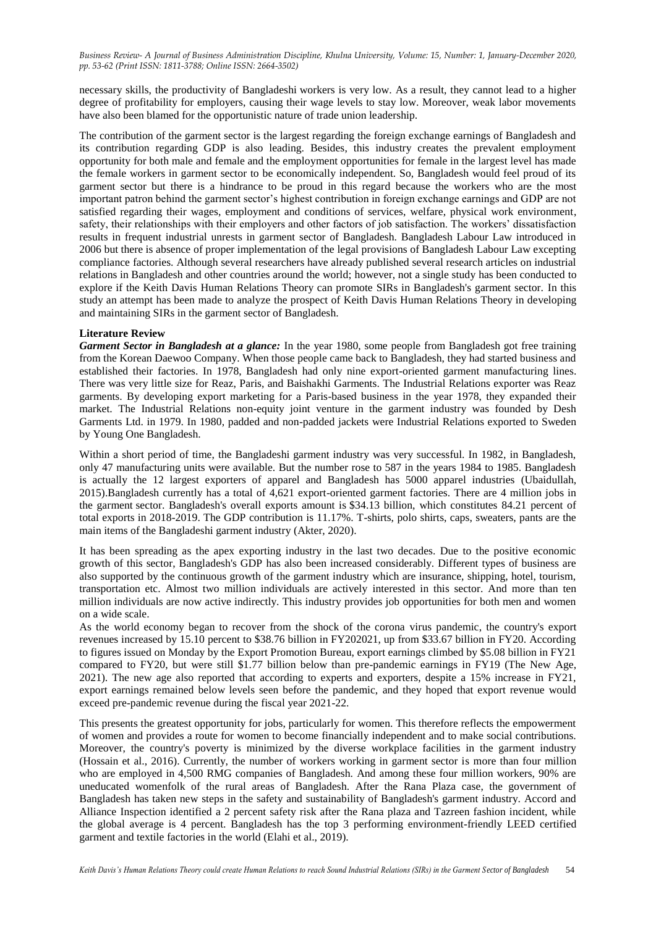necessary skills, the productivity of Bangladeshi workers is very low. As a result, they cannot lead to a higher degree of profitability for employers, causing their wage levels to stay low. Moreover, weak labor movements have also been blamed for the opportunistic nature of trade union leadership.

The contribution of the garment sector is the largest regarding the foreign exchange earnings of Bangladesh and its contribution regarding GDP is also leading. Besides, this industry creates the prevalent employment opportunity for both male and female and the employment opportunities for female in the largest level has made the female workers in garment sector to be economically independent. So, Bangladesh would feel proud of its garment sector but there is a hindrance to be proud in this regard because the workers who are the most important patron behind the garment sector's highest contribution in foreign exchange earnings and GDP are not satisfied regarding their wages, employment and conditions of services, welfare, physical work environment, safety, their relationships with their employers and other factors of job satisfaction. The workers' dissatisfaction results in frequent industrial unrests in garment sector of Bangladesh. Bangladesh Labour Law introduced in 2006 but there is absence of proper implementation of the legal provisions of Bangladesh Labour Law excepting compliance factories. Although several researchers have already published several research articles on industrial relations in Bangladesh and other countries around the world; however, not a single study has been conducted to explore if the Keith Davis Human Relations Theory can promote SIRs in Bangladesh's garment sector. In this study an attempt has been made to analyze the prospect of Keith Davis Human Relations Theory in developing and maintaining SIRs in the garment sector of Bangladesh.

## **Literature Review**

*Garment Sector in Bangladesh at a glance:* In the year 1980, some people from Bangladesh got free training from the Korean Daewoo Company. When those people came back to Bangladesh, they had started business and established their factories. In 1978, Bangladesh had only nine export-oriented garment manufacturing lines. There was very little size for Reaz, Paris, and Baishakhi Garments. The Industrial Relations exporter was Reaz garments. By developing export marketing for a Paris-based business in the year 1978, they expanded their market. The Industrial Relations non-equity joint venture in the garment industry was founded by Desh Garments Ltd. in 1979. In 1980, padded and non-padded jackets were Industrial Relations exported to Sweden by Young One Bangladesh.

Within a short period of time, the Bangladeshi garment industry was very successful. In 1982, in Bangladesh, only 47 manufacturing units were available. But the number rose to 587 in the years 1984 to 1985. Bangladesh is actually the 12 largest exporters of apparel and Bangladesh has 5000 apparel industries (Ubaidullah, 2015).Bangladesh currently has a total of 4,621 export-oriented garment factories. There are 4 million jobs in the garment sector. Bangladesh's overall exports amount is \$34.13 billion, which constitutes 84.21 percent of total exports in 2018-2019. The GDP contribution is 11.17%. T-shirts, polo shirts, caps, sweaters, pants are the main items of the Bangladeshi garment industry (Akter, 2020).

It has been spreading as the apex exporting industry in the last two decades. Due to the positive economic growth of this sector, Bangladesh's GDP has also been increased considerably. Different types of business are also supported by the continuous growth of the garment industry which are insurance, shipping, hotel, tourism, transportation etc. Almost two million individuals are actively interested in this sector. And more than ten million individuals are now active indirectly. This industry provides job opportunities for both men and women on a wide scale.

As the world economy began to recover from the shock of the corona virus pandemic, the country's export revenues increased by 15.10 percent to \$38.76 billion in FY202021, up from \$33.67 billion in FY20. According to figures issued on Monday by the Export Promotion Bureau, export earnings climbed by \$5.08 billion in FY21 compared to FY20, but were still \$1.77 billion below than pre-pandemic earnings in FY19 (The New Age, 2021). The new age also reported that according to experts and exporters, despite a 15% increase in FY21, export earnings remained below levels seen before the pandemic, and they hoped that export revenue would exceed pre-pandemic revenue during the fiscal year 2021-22.

This presents the greatest opportunity for jobs, particularly for women. This therefore reflects the empowerment of women and provides a route for women to become financially independent and to make social contributions. Moreover, the country's poverty is minimized by the diverse workplace facilities in the garment industry (Hossain et al., 2016). Currently, the number of workers working in garment sector is more than four million who are employed in 4,500 RMG companies of Bangladesh. And among these four million workers, 90% are uneducated womenfolk of the rural areas of Bangladesh. After the Rana Plaza case, the government of Bangladesh has taken new steps in the safety and sustainability of Bangladesh's garment industry. Accord and Alliance Inspection identified a 2 percent safety risk after the Rana plaza and Tazreen fashion incident, while the global average is 4 percent. Bangladesh has the top 3 performing environment-friendly LEED certified garment and textile factories in the world (Elahi et al., 2019).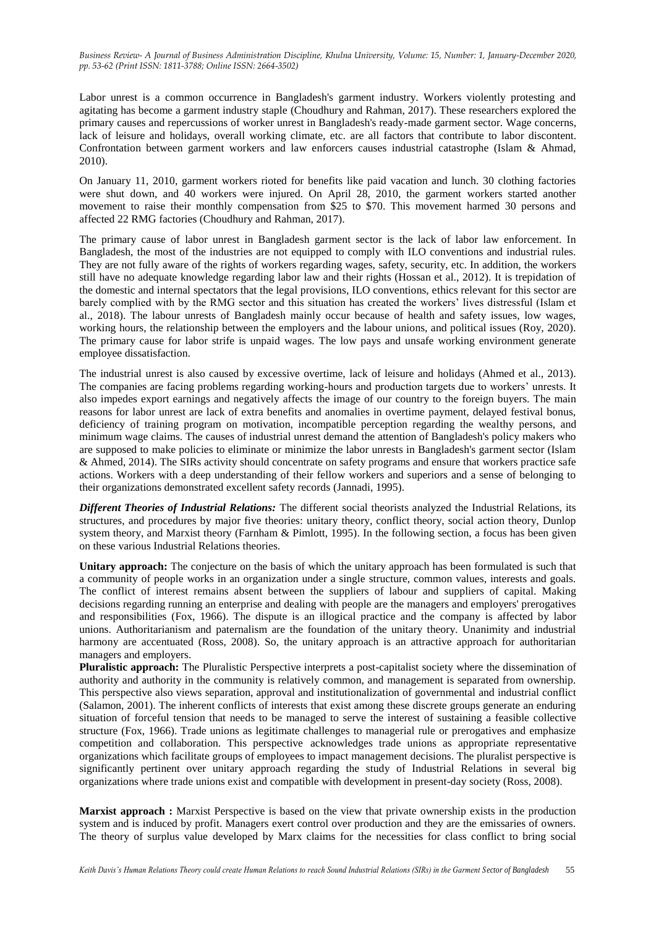Labor unrest is a common occurrence in Bangladesh's garment industry. Workers violently protesting and agitating has become a garment industry staple (Choudhury and Rahman, 2017). These researchers explored the primary causes and repercussions of worker unrest in Bangladesh's ready-made garment sector. Wage concerns, lack of leisure and holidays, overall working climate, etc. are all factors that contribute to labor discontent. Confrontation between garment workers and law enforcers causes industrial catastrophe (Islam & Ahmad, 2010).

On January 11, 2010, garment workers rioted for benefits like paid vacation and lunch. 30 clothing factories were shut down, and 40 workers were injured. On April 28, 2010, the garment workers started another movement to raise their monthly compensation from \$25 to \$70. This movement harmed 30 persons and affected 22 RMG factories (Choudhury and Rahman, 2017).

The primary cause of labor unrest in Bangladesh garment sector is the lack of labor law enforcement. In Bangladesh, the most of the industries are not equipped to comply with ILO conventions and industrial rules. They are not fully aware of the rights of workers regarding wages, safety, security, etc. In addition, the workers still have no adequate knowledge regarding labor law and their rights (Hossan et al., 2012). It is trepidation of the domestic and internal spectators that the legal provisions, ILO conventions, ethics relevant for this sector are barely complied with by the RMG sector and this situation has created the workers' lives distressful (Islam et al., 2018). The labour unrests of Bangladesh mainly occur because of health and safety issues, low wages, working hours, the relationship between the employers and the labour unions, and political issues (Roy, 2020). The primary cause for labor strife is unpaid wages. The low pays and unsafe working environment generate employee dissatisfaction.

The industrial unrest is also caused by excessive overtime, lack of leisure and holidays (Ahmed et al., 2013). The companies are facing problems regarding working-hours and production targets due to workers' unrests. It also impedes export earnings and negatively affects the image of our country to the foreign buyers. The main reasons for labor unrest are lack of extra benefits and anomalies in overtime payment, delayed festival bonus, deficiency of training program on motivation, incompatible perception regarding the wealthy persons, and minimum wage claims. The causes of industrial unrest demand the attention of Bangladesh's policy makers who are supposed to make policies to eliminate or minimize the labor unrests in Bangladesh's garment sector (Islam & Ahmed, 2014). The SIRs activity should concentrate on safety programs and ensure that workers practice safe actions. Workers with a deep understanding of their fellow workers and superiors and a sense of belonging to their organizations demonstrated excellent safety records (Jannadi, 1995).

*Different Theories of Industrial Relations:* The different social theorists analyzed the Industrial Relations, its structures, and procedures by major five theories: unitary theory, conflict theory, social action theory, Dunlop system theory, and Marxist theory (Farnham & Pimlott, 1995). In the following section, a focus has been given on these various Industrial Relations theories.

**Unitary approach:** The conjecture on the basis of which the unitary approach has been formulated is such that a community of people works in an organization under a single structure, common values, interests and goals. The conflict of interest remains absent between the suppliers of labour and suppliers of capital. Making decisions regarding running an enterprise and dealing with people are the managers and employers' prerogatives and responsibilities (Fox, 1966). The dispute is an illogical practice and the company is affected by labor unions. Authoritarianism and paternalism are the foundation of the unitary theory. Unanimity and industrial harmony are accentuated (Ross, 2008). So, the unitary approach is an attractive approach for authoritarian managers and employers.

**Pluralistic approach:** The Pluralistic Perspective interprets a post-capitalist society where the dissemination of authority and authority in the community is relatively common, and management is separated from ownership. This perspective also views separation, approval and institutionalization of governmental and industrial conflict (Salamon, 2001). The inherent conflicts of interests that exist among these discrete groups generate an enduring situation of forceful tension that needs to be managed to serve the interest of sustaining a feasible collective structure (Fox, 1966). Trade unions as legitimate challenges to managerial rule or prerogatives and emphasize competition and collaboration. This perspective acknowledges trade unions as appropriate representative organizations which facilitate groups of employees to impact management decisions. The pluralist perspective is significantly pertinent over unitary approach regarding the study of Industrial Relations in several big organizations where trade unions exist and compatible with development in present-day society (Ross, 2008).

**Marxist approach :** Marxist Perspective is based on the view that private ownership exists in the production system and is induced by profit. Managers exert control over production and they are the emissaries of owners. The theory of surplus value developed by Marx claims for the necessities for class conflict to bring social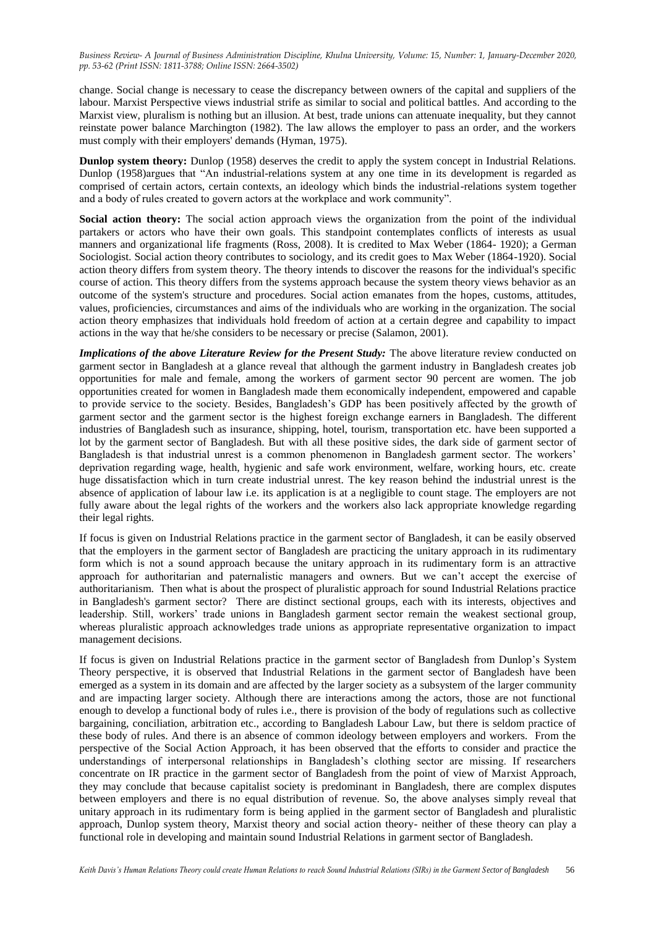change. Social change is necessary to cease the discrepancy between owners of the capital and suppliers of the labour. Marxist Perspective views industrial strife as similar to social and political battles. And according to the Marxist view, pluralism is nothing but an illusion. At best, trade unions can attenuate inequality, but they cannot reinstate power balance Marchington (1982). The law allows the employer to pass an order, and the workers must comply with their employers' demands (Hyman, 1975).

**Dunlop system theory:** Dunlop (1958) deserves the credit to apply the system concept in Industrial Relations. Dunlop (1958)argues that "An industrial-relations system at any one time in its development is regarded as comprised of certain actors, certain contexts, an ideology which binds the industrial-relations system together and a body of rules created to govern actors at the workplace and work community".

**Social action theory:** The social action approach views the organization from the point of the individual partakers or actors who have their own goals. This standpoint contemplates conflicts of interests as usual manners and organizational life fragments (Ross, 2008). It is credited to Max Weber (1864- 1920); a German Sociologist. Social action theory contributes to sociology, and its credit goes to Max Weber (1864-1920). Social action theory differs from system theory. The theory intends to discover the reasons for the individual's specific course of action. This theory differs from the systems approach because the system theory views behavior as an outcome of the system's structure and procedures. Social action emanates from the hopes, customs, attitudes, values, proficiencies, circumstances and aims of the individuals who are working in the organization. The social action theory emphasizes that individuals hold freedom of action at a certain degree and capability to impact actions in the way that he/she considers to be necessary or precise (Salamon, 2001).

*Implications of the above Literature Review for the Present Study:* The above literature review conducted on garment sector in Bangladesh at a glance reveal that although the garment industry in Bangladesh creates job opportunities for male and female, among the workers of garment sector 90 percent are women. The job opportunities created for women in Bangladesh made them economically independent, empowered and capable to provide service to the society. Besides, Bangladesh's GDP has been positively affected by the growth of garment sector and the garment sector is the highest foreign exchange earners in Bangladesh. The different industries of Bangladesh such as insurance, shipping, hotel, tourism, transportation etc. have been supported a lot by the garment sector of Bangladesh. But with all these positive sides, the dark side of garment sector of Bangladesh is that industrial unrest is a common phenomenon in Bangladesh garment sector. The workers' deprivation regarding wage, health, hygienic and safe work environment, welfare, working hours, etc. create huge dissatisfaction which in turn create industrial unrest. The key reason behind the industrial unrest is the absence of application of labour law i.e. its application is at a negligible to count stage. The employers are not fully aware about the legal rights of the workers and the workers also lack appropriate knowledge regarding their legal rights.

If focus is given on Industrial Relations practice in the garment sector of Bangladesh, it can be easily observed that the employers in the garment sector of Bangladesh are practicing the unitary approach in its rudimentary form which is not a sound approach because the unitary approach in its rudimentary form is an attractive approach for authoritarian and paternalistic managers and owners. But we can't accept the exercise of authoritarianism. Then what is about the prospect of pluralistic approach for sound Industrial Relations practice in Bangladesh's garment sector? There are distinct sectional groups, each with its interests, objectives and leadership. Still, workers' trade unions in Bangladesh garment sector remain the weakest sectional group, whereas pluralistic approach acknowledges trade unions as appropriate representative organization to impact management decisions.

If focus is given on Industrial Relations practice in the garment sector of Bangladesh from Dunlop's System Theory perspective, it is observed that Industrial Relations in the garment sector of Bangladesh have been emerged as a system in its domain and are affected by the larger society as a subsystem of the larger community and are impacting larger society. Although there are interactions among the actors, those are not functional enough to develop a functional body of rules i.e., there is provision of the body of regulations such as collective bargaining, conciliation, arbitration etc., according to Bangladesh Labour Law, but there is seldom practice of these body of rules. And there is an absence of common ideology between employers and workers. From the perspective of the Social Action Approach, it has been observed that the efforts to consider and practice the understandings of interpersonal relationships in Bangladesh's clothing sector are missing. If researchers concentrate on IR practice in the garment sector of Bangladesh from the point of view of Marxist Approach, they may conclude that because capitalist society is predominant in Bangladesh, there are complex disputes between employers and there is no equal distribution of revenue. So, the above analyses simply reveal that unitary approach in its rudimentary form is being applied in the garment sector of Bangladesh and pluralistic approach, Dunlop system theory, Marxist theory and social action theory- neither of these theory can play a functional role in developing and maintain sound Industrial Relations in garment sector of Bangladesh.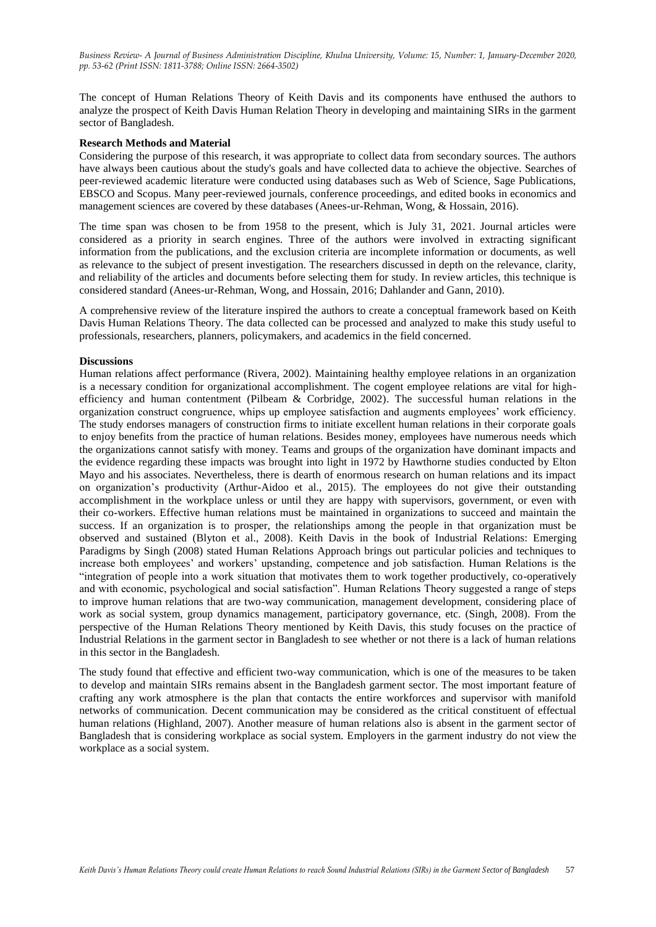The concept of Human Relations Theory of Keith Davis and its components have enthused the authors to analyze the prospect of Keith Davis Human Relation Theory in developing and maintaining SIRs in the garment sector of Bangladesh.

### **Research Methods and Material**

Considering the purpose of this research, it was appropriate to collect data from secondary sources. The authors have always been cautious about the study's goals and have collected data to achieve the objective. Searches of peer-reviewed academic literature were conducted using databases such as Web of Science, Sage Publications, EBSCO and Scopus. Many peer-reviewed journals, conference proceedings, and edited books in economics and management sciences are covered by these databases (Anees-ur-Rehman, Wong, & Hossain, 2016).

The time span was chosen to be from 1958 to the present, which is July 31, 2021. Journal articles were considered as a priority in search engines. Three of the authors were involved in extracting significant information from the publications, and the exclusion criteria are incomplete information or documents, as well as relevance to the subject of present investigation. The researchers discussed in depth on the relevance, clarity, and reliability of the articles and documents before selecting them for study. In review articles, this technique is considered standard (Anees-ur-Rehman, Wong, and Hossain, 2016; Dahlander and Gann, 2010).

A comprehensive review of the literature inspired the authors to create a conceptual framework based on Keith Davis Human Relations Theory. The data collected can be processed and analyzed to make this study useful to professionals, researchers, planners, policymakers, and academics in the field concerned.

### **Discussions**

Human relations affect performance (Rivera, 2002). Maintaining healthy employee relations in an organization is a necessary condition for organizational accomplishment. The cogent employee relations are vital for highefficiency and human contentment (Pilbeam & Corbridge, 2002). The successful human relations in the organization construct congruence, whips up employee satisfaction and augments employees' work efficiency. The study endorses managers of construction firms to initiate excellent human relations in their corporate goals to enjoy benefits from the practice of human relations. Besides money, employees have numerous needs which the organizations cannot satisfy with money. Teams and groups of the organization have dominant impacts and the evidence regarding these impacts was brought into light in 1972 by Hawthorne studies conducted by Elton Mayo and his associates. Nevertheless, there is dearth of enormous research on human relations and its impact on organization's productivity (Arthur-Aidoo et al., 2015). The employees do not give their outstanding accomplishment in the workplace unless or until they are happy with supervisors, government, or even with their co-workers. Effective human relations must be maintained in organizations to succeed and maintain the success. If an organization is to prosper, the relationships among the people in that organization must be observed and sustained (Blyton et al., 2008). Keith Davis in the book of Industrial Relations: Emerging Paradigms by Singh (2008) stated Human Relations Approach brings out particular policies and techniques to increase both employees' and workers' upstanding, competence and job satisfaction. Human Relations is the "integration of people into a work situation that motivates them to work together productively, co-operatively and with economic, psychological and social satisfaction". Human Relations Theory suggested a range of steps to improve human relations that are two-way communication, management development, considering place of work as social system, group dynamics management, participatory governance, etc. (Singh, 2008). From the perspective of the Human Relations Theory mentioned by Keith Davis, this study focuses on the practice of Industrial Relations in the garment sector in Bangladesh to see whether or not there is a lack of human relations in this sector in the Bangladesh.

The study found that effective and efficient two-way communication, which is one of the measures to be taken to develop and maintain SIRs remains absent in the Bangladesh garment sector. The most important feature of crafting any work atmosphere is the plan that contacts the entire workforces and supervisor with manifold networks of communication. Decent communication may be considered as the critical constituent of effectual human relations (Highland, 2007). Another measure of human relations also is absent in the garment sector of Bangladesh that is considering workplace as social system. Employers in the garment industry do not view the workplace as a social system.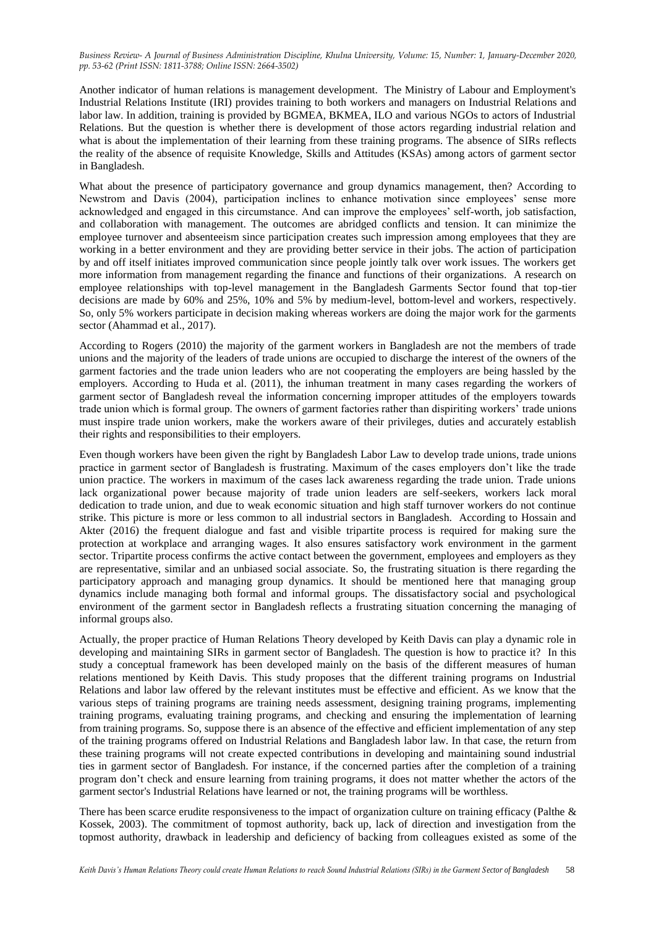Another indicator of human relations is management development. The Ministry of Labour and Employment's Industrial Relations Institute (IRI) provides training to both workers and managers on Industrial Relations and labor law. In addition, training is provided by BGMEA, BKMEA, ILO and various NGOs to actors of Industrial Relations. But the question is whether there is development of those actors regarding industrial relation and what is about the implementation of their learning from these training programs. The absence of SIRs reflects the reality of the absence of requisite Knowledge, Skills and Attitudes (KSAs) among actors of garment sector in Bangladesh.

What about the presence of participatory governance and group dynamics management, then? According to Newstrom and Davis (2004), participation inclines to enhance motivation since employees' sense more acknowledged and engaged in this circumstance. And can improve the employees' self-worth, job satisfaction, and collaboration with management. The outcomes are abridged conflicts and tension. It can minimize the employee turnover and absenteeism since participation creates such impression among employees that they are working in a better environment and they are providing better service in their jobs. The action of participation by and off itself initiates improved communication since people jointly talk over work issues. The workers get more information from management regarding the finance and functions of their organizations. A research on employee relationships with top-level management in the Bangladesh Garments Sector found that top-tier decisions are made by 60% and 25%, 10% and 5% by medium-level, bottom-level and workers, respectively. So, only 5% workers participate in decision making whereas workers are doing the major work for the garments sector (Ahammad et al., 2017).

According to Rogers (2010) the majority of the garment workers in Bangladesh are not the members of trade unions and the majority of the leaders of trade unions are occupied to discharge the interest of the owners of the garment factories and the trade union leaders who are not cooperating the employers are being hassled by the employers. According to Huda et al. (2011), the inhuman treatment in many cases regarding the workers of garment sector of Bangladesh reveal the information concerning improper attitudes of the employers towards trade union which is formal group. The owners of garment factories rather than dispiriting workers' trade unions must inspire trade union workers, make the workers aware of their privileges, duties and accurately establish their rights and responsibilities to their employers.

Even though workers have been given the right by Bangladesh Labor Law to develop trade unions, trade unions practice in garment sector of Bangladesh is frustrating. Maximum of the cases employers don't like the trade union practice. The workers in maximum of the cases lack awareness regarding the trade union. Trade unions lack organizational power because majority of trade union leaders are self-seekers, workers lack moral dedication to trade union, and due to weak economic situation and high staff turnover workers do not continue strike. This picture is more or less common to all industrial sectors in Bangladesh. According to Hossain and Akter (2016) the frequent dialogue and fast and visible tripartite process is required for making sure the protection at workplace and arranging wages. It also ensures satisfactory work environment in the garment sector. Tripartite process confirms the active contact between the government, employees and employers as they are representative, similar and an unbiased social associate. So, the frustrating situation is there regarding the participatory approach and managing group dynamics. It should be mentioned here that managing group dynamics include managing both formal and informal groups. The dissatisfactory social and psychological environment of the garment sector in Bangladesh reflects a frustrating situation concerning the managing of informal groups also.

Actually, the proper practice of Human Relations Theory developed by Keith Davis can play a dynamic role in developing and maintaining SIRs in garment sector of Bangladesh. The question is how to practice it? In this study a conceptual framework has been developed mainly on the basis of the different measures of human relations mentioned by Keith Davis. This study proposes that the different training programs on Industrial Relations and labor law offered by the relevant institutes must be effective and efficient. As we know that the various steps of training programs are training needs assessment, designing training programs, implementing training programs, evaluating training programs, and checking and ensuring the implementation of learning from training programs. So, suppose there is an absence of the effective and efficient implementation of any step of the training programs offered on Industrial Relations and Bangladesh labor law. In that case, the return from these training programs will not create expected contributions in developing and maintaining sound industrial ties in garment sector of Bangladesh. For instance, if the concerned parties after the completion of a training program don't check and ensure learning from training programs, it does not matter whether the actors of the garment sector's Industrial Relations have learned or not, the training programs will be worthless.

There has been scarce erudite responsiveness to the impact of organization culture on training efficacy (Palthe & Kossek, 2003). The commitment of topmost authority, back up, lack of direction and investigation from the topmost authority, drawback in leadership and deficiency of backing from colleagues existed as some of the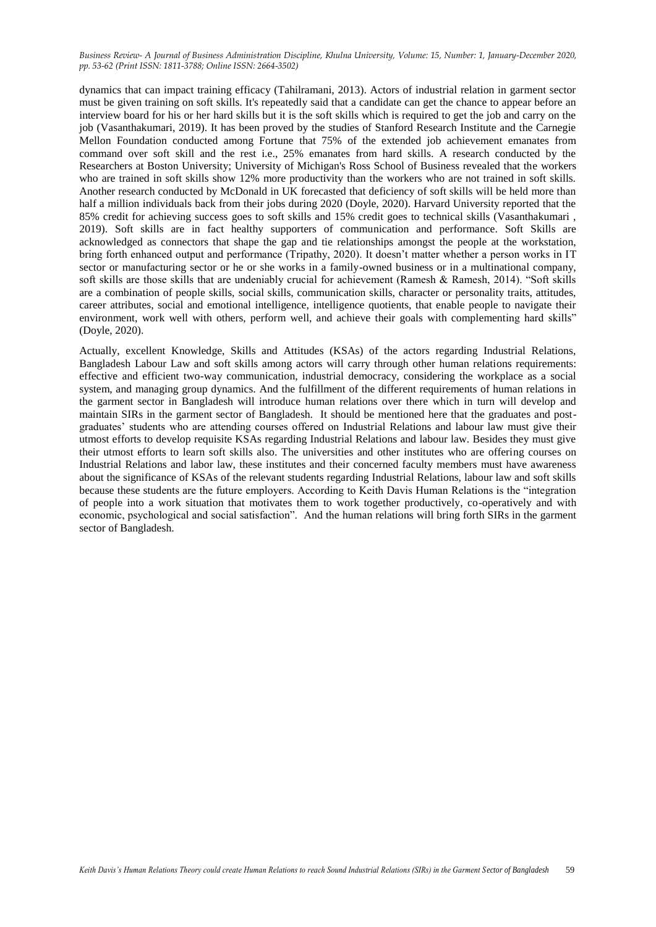dynamics that can impact training efficacy (Tahilramani, 2013). Actors of industrial relation in garment sector must be given training on soft skills. It's repeatedly said that a candidate can get the chance to appear before an interview board for his or her hard skills but it is the soft skills which is required to get the job and carry on the job (Vasanthakumari, 2019). It has been proved by the studies of Stanford Research Institute and the Carnegie Mellon Foundation conducted among Fortune that 75% of the extended job achievement emanates from command over soft skill and the rest i.e., 25% emanates from hard skills. A research conducted by the Researchers at Boston University; University of Michigan's Ross School of Business revealed that the workers who are trained in soft skills show 12% more productivity than the workers who are not trained in soft skills. Another research conducted by McDonald in UK forecasted that deficiency of soft skills will be held more than half a million individuals back from their jobs during 2020 (Doyle, 2020). Harvard University reported that the 85% credit for achieving success goes to soft skills and 15% credit goes to technical skills (Vasanthakumari , 2019). Soft skills are in fact healthy supporters of communication and performance. Soft Skills are acknowledged as connectors that shape the gap and tie relationships amongst the people at the workstation, bring forth enhanced output and performance (Tripathy, 2020). It doesn't matter whether a person works in IT sector or manufacturing sector or he or she works in a family-owned business or in a multinational company, soft skills are those skills that are undeniably crucial for achievement (Ramesh & Ramesh, 2014). "Soft skills are a combination of people skills, social skills, communication skills, character or personality traits, attitudes, career attributes, social and emotional intelligence, intelligence quotients, that enable people to navigate their environment, work well with others, perform well, and achieve their goals with complementing hard skills" (Doyle, 2020).

Actually, excellent Knowledge, Skills and Attitudes (KSAs) of the actors regarding Industrial Relations, Bangladesh Labour Law and soft skills among actors will carry through other human relations requirements: effective and efficient two-way communication, industrial democracy, considering the workplace as a social system, and managing group dynamics. And the fulfillment of the different requirements of human relations in the garment sector in Bangladesh will introduce human relations over there which in turn will develop and maintain SIRs in the garment sector of Bangladesh. It should be mentioned here that the graduates and postgraduates' students who are attending courses offered on Industrial Relations and labour law must give their utmost efforts to develop requisite KSAs regarding Industrial Relations and labour law. Besides they must give their utmost efforts to learn soft skills also. The universities and other institutes who are offering courses on Industrial Relations and labor law, these institutes and their concerned faculty members must have awareness about the significance of KSAs of the relevant students regarding Industrial Relations, labour law and soft skills because these students are the future employers. According to Keith Davis Human Relations is the "integration of people into a work situation that motivates them to work together productively, co-operatively and with economic, psychological and social satisfaction". And the human relations will bring forth SIRs in the garment sector of Bangladesh.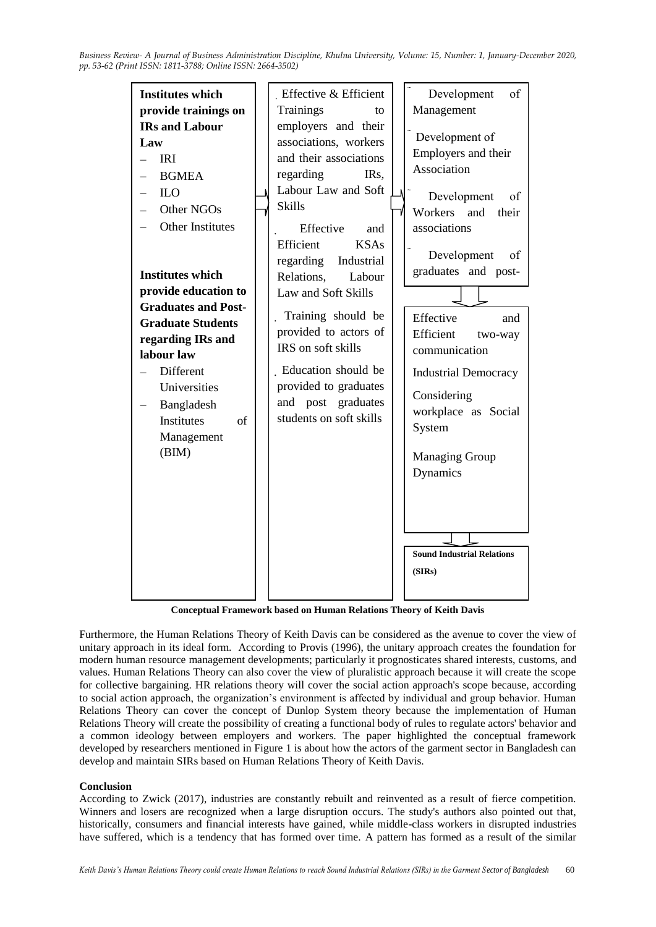

**Conceptual Framework based on Human Relations Theory of Keith Davis**

Furthermore, the Human Relations Theory of Keith Davis can be considered as the avenue to cover the view of unitary approach in its ideal form. According to Provis (1996), the unitary approach creates the foundation for modern human resource management developments; particularly it prognosticates shared interests, customs, and values. Human Relations Theory can also cover the view of pluralistic approach because it will create the scope for collective bargaining. HR relations theory will cover the social action approach's scope because, according to social action approach, the organization's environment is affected by individual and group behavior. Human Relations Theory can cover the concept of Dunlop System theory because the implementation of Human Relations Theory will create the possibility of creating a functional body of rules to regulate actors' behavior and a common ideology between employers and workers. The paper highlighted the conceptual framework developed by researchers mentioned in Figure 1 is about how the actors of the garment sector in Bangladesh can develop and maintain SIRs based on Human Relations Theory of Keith Davis.

# **Conclusion**

According to Zwick (2017), industries are constantly rebuilt and reinvented as a result of fierce competition. Winners and losers are recognized when a large disruption occurs. The study's authors also pointed out that, historically, consumers and financial interests have gained, while middle-class workers in disrupted industries have suffered, which is a tendency that has formed over time. A pattern has formed as a result of the similar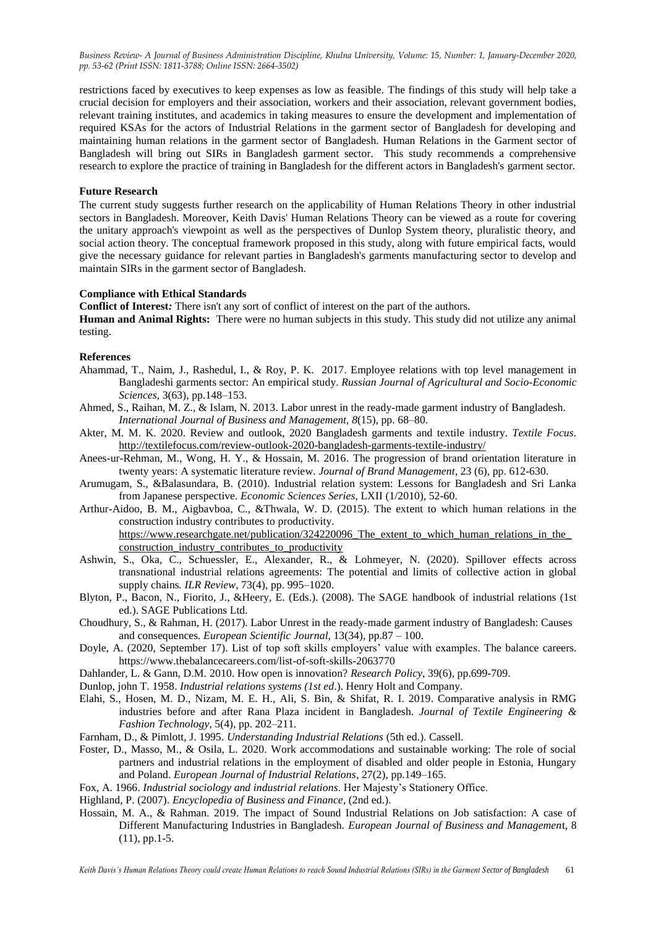restrictions faced by executives to keep expenses as low as feasible. The findings of this study will help take a crucial decision for employers and their association, workers and their association, relevant government bodies, relevant training institutes, and academics in taking measures to ensure the development and implementation of required KSAs for the actors of Industrial Relations in the garment sector of Bangladesh for developing and maintaining human relations in the garment sector of Bangladesh. Human Relations in the Garment sector of Bangladesh will bring out SIRs in Bangladesh garment sector. This study recommends a comprehensive research to explore the practice of training in Bangladesh for the different actors in Bangladesh's garment sector.

### **Future Research**

The current study suggests further research on the applicability of Human Relations Theory in other industrial sectors in Bangladesh. Moreover, Keith Davis' Human Relations Theory can be viewed as a route for covering the unitary approach's viewpoint as well as the perspectives of Dunlop System theory, pluralistic theory, and social action theory. The conceptual framework proposed in this study, along with future empirical facts, would give the necessary guidance for relevant parties in Bangladesh's garments manufacturing sector to develop and maintain SIRs in the garment sector of Bangladesh.

## **Compliance with Ethical Standards**

**Conflict of Interest***:* There isn't any sort of conflict of interest on the part of the authors.

**Human and Animal Rights:** There were no human subjects in this study. This study did not utilize any animal testing.

### **References**

- Ahammad, T., Naim, J., Rashedul, I., & Roy, P. K. 2017. Employee relations with top level management in Bangladeshi garments sector: An empirical study. *Russian Journal of Agricultural and Socio-Economic Sciences*, 3(63), pp.148–153.
- Ahmed, S., Raihan, M. Z., & Islam, N. 2013. Labor unrest in the ready-made garment industry of Bangladesh. *International Journal of Business and Management*, *8*(15), pp. 68–80.
- Akter, M. M. K. 2020. Review and outlook, 2020 Bangladesh garments and textile industry. *Textile Focus*. <http://textilefocus.com/review-outlook-2020-bangladesh-garments-textile-industry/>
- Anees-ur-Rehman, M., Wong, H. Y., & Hossain, M. 2016. The progression of brand orientation literature in twenty years: A systematic literature review. *Journal of Brand Management*, 23 (6), pp. 612-630.
- Arumugam, S., &Balasundara, B. (2010). Industrial relation system: Lessons for Bangladesh and Sri Lanka from Japanese perspective. *Economic Sciences Series*, LXII (1/2010), 52-60.
- Arthur-Aidoo, B. M., Aigbavboa, C., &Thwala, W. D. (2015). The extent to which human relations in the construction industry contributes to productivity. https://www.researchgate.net/publication/324220096 The extent to which human relations in the [construction\\_industry\\_contributes\\_to\\_productivity](https://www.researchgate.net/publication/324220096_The_extent_to_which_human_relations_in_the_construction_industry_contributes_to_productivity)
- Ashwin, S., Oka, C., Schuessler, E., Alexander, R., & Lohmeyer, N. (2020). Spillover effects across transnational industrial relations agreements: The potential and limits of collective action in global supply chains*. ILR Review*, 73(4), pp. 995–1020.
- Blyton, P., Bacon, N., Fiorito, J., &Heery, E. (Eds.). (2008). The SAGE handbook of industrial relations (1st ed.). SAGE Publications Ltd.
- Choudhury, S., & Rahman, H. (2017). Labor Unrest in the ready-made garment industry of Bangladesh: Causes and consequences*. European Scientific Journal,* 13(34), pp.87 – 100.
- Doyle, A. (2020, September 17). List of top soft skills employers' value with examples. The balance careers. https://www.thebalancecareers.com/list-of-soft-skills-2063770
- Dahlander, L. & Gann, D.M. 2010. How open is innovation? *Research Policy*, 39(6), pp.699-709.
- Dunlop, john T. 1958. *Industrial relations systems (1st ed*.). Henry Holt and Company.
- Elahi, S., Hosen, M. D., Nizam, M. E. H., Ali, S. Bin, & Shifat, R. I. 2019. Comparative analysis in RMG industries before and after Rana Plaza incident in Bangladesh. *Journal of Textile Engineering & Fashion Technology*, 5(4), pp. 202–211.
- Farnham, D., & Pimlott, J. 1995. *Understanding Industrial Relations* (5th ed.). Cassell.
- Foster, D., Masso, M., & Osila, L. 2020. Work accommodations and sustainable working: The role of social partners and industrial relations in the employment of disabled and older people in Estonia, Hungary and Poland. *European Journal of Industrial Relations*, 27(2), pp.149–165.
- Fox, A. 1966. *Industrial sociology and industrial relations*. Her Majesty's Stationery Office.
- Highland, P. (2007). *Encyclopedia of Business and Finance*, (2nd ed.).
- Hossain, M. A., & Rahman. 2019. The impact of Sound Industrial Relations on Job satisfaction: A case of Different Manufacturing Industries in Bangladesh. *European Journal of Business and Managemen*t, 8 (11), pp.1-5.